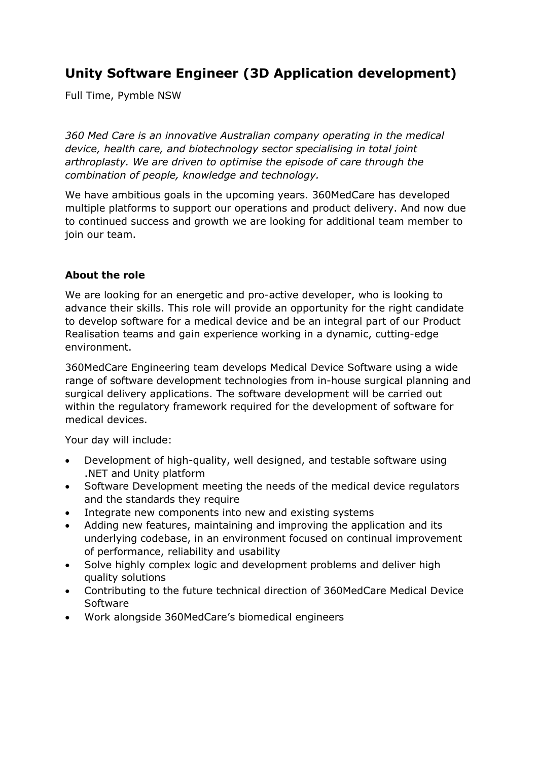## **Unity Software Engineer (3D Application development)**

Full Time, Pymble NSW

*360 Med Care is an innovative Australian company operating in the medical device, health care, and biotechnology sector specialising in total joint arthroplasty. We are driven to optimise the episode of care through the combination of people, knowledge and technology.*

We have ambitious goals in the upcoming years. 360MedCare has developed multiple platforms to support our operations and product delivery. And now due to continued success and growth we are looking for additional team member to join our team.

## **About the role**

We are looking for an energetic and pro-active developer, who is looking to advance their skills. This role will provide an opportunity for the right candidate to develop software for a medical device and be an integral part of our Product Realisation teams and gain experience working in a dynamic, cutting-edge environment.

360MedCare Engineering team develops Medical Device Software using a wide range of software development technologies from in-house surgical planning and surgical delivery applications. The software development will be carried out within the regulatory framework required for the development of software for medical devices.

Your day will include:

- Development of high-quality, well designed, and testable software using .NET and Unity platform
- Software Development meeting the needs of the medical device regulators and the standards they require
- Integrate new components into new and existing systems
- Adding new features, maintaining and improving the application and its underlying codebase, in an environment focused on continual improvement of performance, reliability and usability
- Solve highly complex logic and development problems and deliver high quality solutions
- Contributing to the future technical direction of 360MedCare Medical Device Software
- Work alongside 360MedCare's biomedical engineers